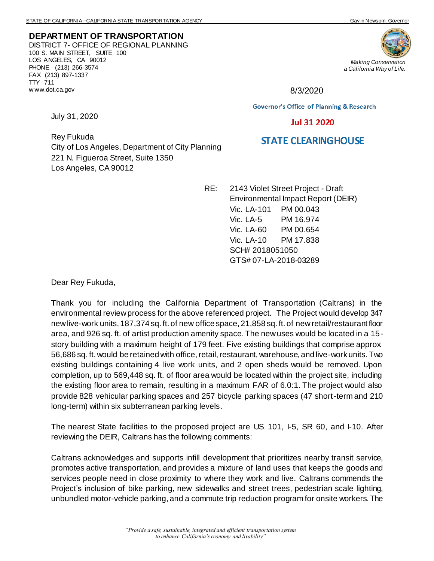**DEPARTMENT OF TRANSPORTATION** DISTRICT 7- OFFICE OF REGIONAL PLANNING 100 S. MAIN STREET, SUITE 100 LOS ANGELES, CA 90012 PHONE (213) 266-3574 FAX (213) 897-1337 TTY 711 w ww.dot.ca.gov



8/3/2020

**Governor's Office of Planning & Research** 

## **Jul 31 2020**

## **STATE CLEARING HOUSE**

Rey Fukuda City of Los Angeles, Department of City Planning 221 N. Figueroa Street, Suite 1350 Los Angeles, CA 90012

> RE: 2143 Violet Street Project - Draft Environmental Impact Report (DEIR) Vic. LA-101 PM 00.043 Vic. LA-5 PM 16.974 Vic. LA-60 PM 00.654 Vic. LA-10 PM 17.838 SCH# 2018051050 GTS# 07-LA-2018-03289

Dear Rey Fukuda,

July 31, 2020

Thank you for including the California Department of Transportation (Caltrans) in the environmental review process for the above referenced project. The Project would develop 347 new live-work units, 187,374 sq. ft. of new office space, 21,858 sq. ft. of new retail/restaurant floor area, and 926 sq. ft. of artist production amenity space. The new uses would be located in a 15 story building with a maximum height of 179 feet. Five existing buildings that comprise approx. 56,686 sq. ft. would be retained with office, retail, restaurant, warehouse, and live-work units. Two existing buildings containing 4 live work units, and 2 open sheds would be removed. Upon completion, up to 569,448 sq. ft. of floor area would be located within the project site, including the existing floor area to remain, resulting in a maximum FAR of 6.0:1. The project would also provide 828 vehicular parking spaces and 257 bicycle parking spaces (47 short-term and 210 long-term) within six subterranean parking levels.

The nearest State facilities to the proposed project are US 101, I-5, SR 60, and I-10. After reviewing the DEIR, Caltrans has the following comments:

Caltrans acknowledges and supports infill development that prioritizes nearby transit service, promotes active transportation, and provides a mixture of land uses that keeps the goods and services people need in close proximity to where they work and live. Caltrans commends the Project's inclusion of bike parking, new sidewalks and street trees, pedestrian scale lighting, unbundled motor-vehicle parking, and a commute trip reduction program for onsite workers. The